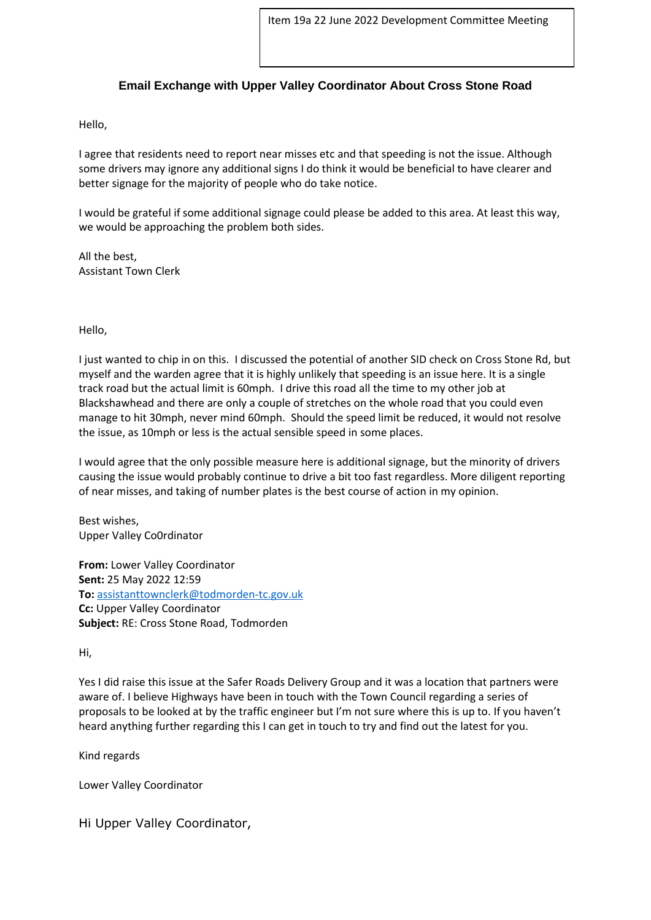## **Email Exchange with Upper Valley Coordinator About Cross Stone Road**

Hello,

I agree that residents need to report near misses etc and that speeding is not the issue. Although some drivers may ignore any additional signs I do think it would be beneficial to have clearer and better signage for the majority of people who do take notice.

I would be grateful if some additional signage could please be added to this area. At least this way, we would be approaching the problem both sides.

All the best, Assistant Town Clerk

Hello,

I just wanted to chip in on this. I discussed the potential of another SID check on Cross Stone Rd, but myself and the warden agree that it is highly unlikely that speeding is an issue here. It is a single track road but the actual limit is 60mph. I drive this road all the time to my other job at Blackshawhead and there are only a couple of stretches on the whole road that you could even manage to hit 30mph, never mind 60mph. Should the speed limit be reduced, it would not resolve the issue, as 10mph or less is the actual sensible speed in some places.

I would agree that the only possible measure here is additional signage, but the minority of drivers causing the issue would probably continue to drive a bit too fast regardless. More diligent reporting of near misses, and taking of number plates is the best course of action in my opinion.

Best wishes, Upper Valley Co0rdinator

**From:** Lower Valley Coordinator **Sent:** 25 May 2022 12:59 **To:** [assistanttownclerk@todmorden-tc.gov.uk](mailto:assistanttownclerk@todmorden-tc.gov.uk) **Cc:** Upper Valley Coordinator **Subject:** RE: Cross Stone Road, Todmorden

## Hi,

Yes I did raise this issue at the Safer Roads Delivery Group and it was a location that partners were aware of. I believe Highways have been in touch with the Town Council regarding a series of proposals to be looked at by the traffic engineer but I'm not sure where this is up to. If you haven't heard anything further regarding this I can get in touch to try and find out the latest for you.

Kind regards

Lower Valley Coordinator

Hi Upper Valley Coordinator,